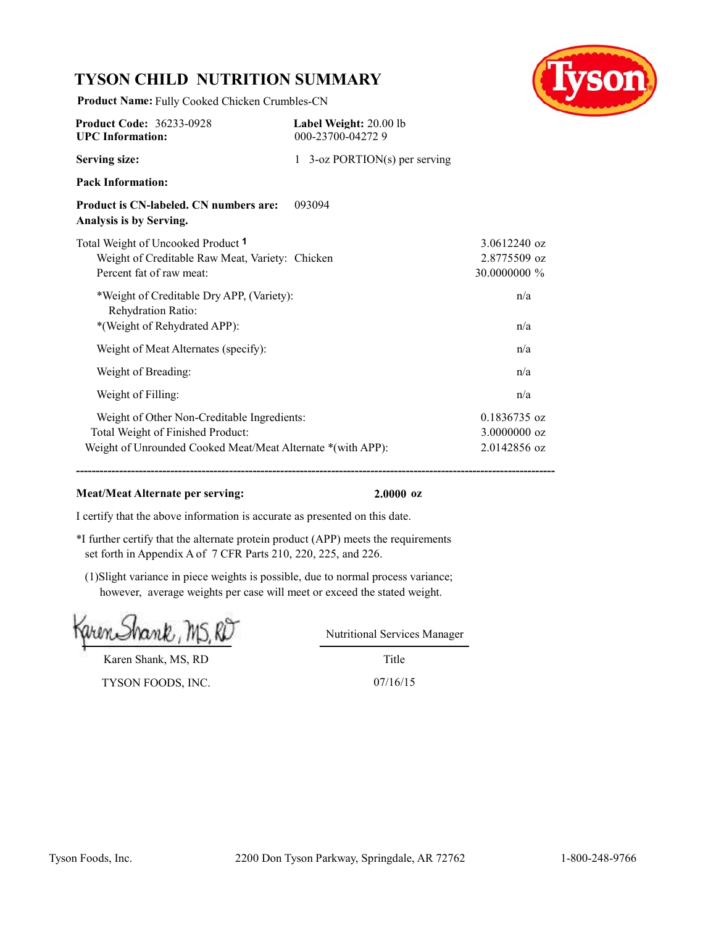# **TYSON CHILD NUTRITION SUMMARY**

**Product Name:** Fully Cooked Chicken Crumbles-CN



| <b>Product Code: 36233-0928</b><br><b>UPC</b> Information:                                                                                      | Label Weight: 20.00 lb<br>000-23700-042729 |                                                |
|-------------------------------------------------------------------------------------------------------------------------------------------------|--------------------------------------------|------------------------------------------------|
| <b>Serving size:</b>                                                                                                                            | 1 3-oz PORTION(s) per serving              |                                                |
| <b>Pack Information:</b>                                                                                                                        |                                            |                                                |
| Product is CN-labeled. CN numbers are:<br>Analysis is by Serving.                                                                               | 093094                                     |                                                |
| Total Weight of Uncooked Product 1<br>Weight of Creditable Raw Meat, Variety: Chicken<br>Percent fat of raw meat:                               |                                            | $3.0612240$ oz<br>2.8775509 oz<br>30.0000000 % |
| *Weight of Creditable Dry APP, (Variety):<br>Rehydration Ratio:<br>*(Weight of Rehydrated APP):                                                 |                                            | n/a<br>n/a                                     |
| Weight of Meat Alternates (specify):                                                                                                            |                                            | n/a                                            |
| Weight of Breading:                                                                                                                             |                                            | n/a                                            |
| Weight of Filling:                                                                                                                              |                                            | n/a                                            |
| Weight of Other Non-Creditable Ingredients:<br>Total Weight of Finished Product:<br>Weight of Unrounded Cooked Meat/Meat Alternate *(with APP): |                                            | 0.1836735 oz<br>3.0000000 oz<br>2.0142856 oz   |

#### **Meat/Meat Alternate per serving: 2.0000 oz**

I certify that the above information is accurate as presented on this date.

\*I further certify that the alternate protein product (APP) meets the requirements set forth in Appendix A of 7 CFR Parts 210, 220, 225, and 226.

(1)Slight variance in piece weights is possible, due to normal process variance; however, average weights per case will meet or exceed the stated weight.

rank, MS.KL

Karen Shank, MS, RD

TYSON FOODS, INC. 07/16/15

Title Nutritional Services Manager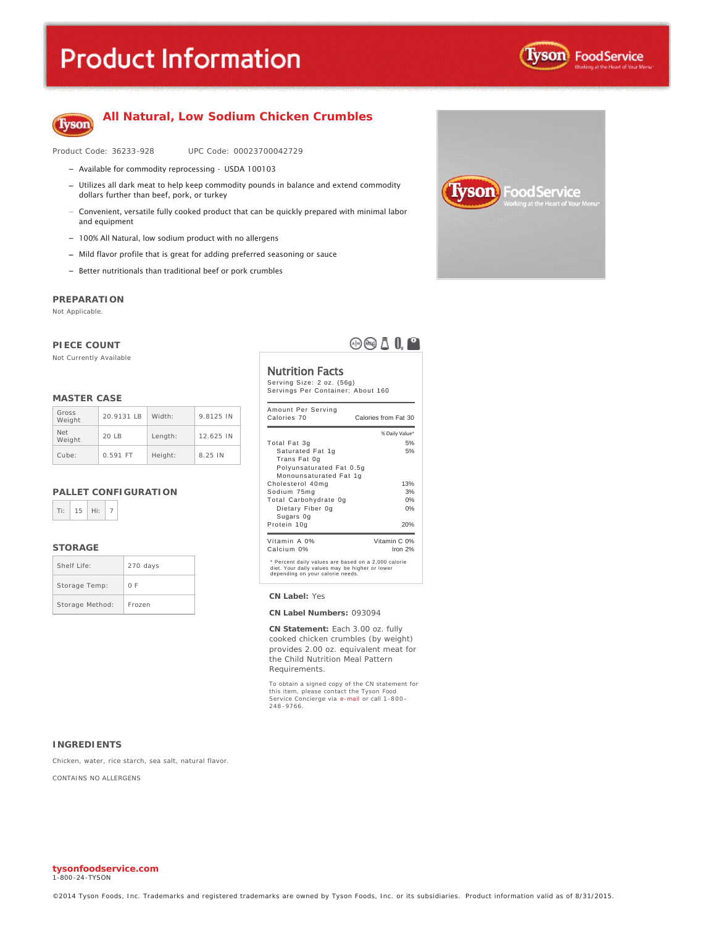# **Product Information**



oodService<sup>:</sup>

rson



### **All Natural, Low Sodium Chicken Crumbles**

Product Code: 36233-928 UPC Code: 00023700042729

- Available for commodity reprocessing USDA 100103
- Utilizes all dark meat to help keep commodity pounds in balance and extend commodity dollars further than beef, pork, or turkey
- Convenient, versatile fully cooked product that can be quickly prepared with minimal labor and equipment
- 100% All Natural, low sodium product with no allergens
- $-$  Mild flavor profile that is great for adding preferred seasoning or sauce
- $-$  Better nutritionals than traditional beef or pork crumbles

#### **PREPARATION**

Not Applicable.

#### **PIECE COUNT**

Not Currently Available

#### **MASTER CASE**

| Gross<br>Weight      | 20.9131 LB | Width:  | 9.8125 IN |
|----------------------|------------|---------|-----------|
| <b>Net</b><br>Weight | 20IB       | Length: | 12.625 IN |
| Cube:                | $0.591$ FT | Height: | 8.25 IN   |

#### **PALLET CONFIGURATION**



#### **STORAGE**

| Shelf Life:     | 270 days |
|-----------------|----------|
| Storage Temp:   | 0 F      |
| Storage Method: | Frozen   |

 $\oplus$   $\oplus$   $\overline{\mathbb{A}}$   $\mathbb{R}$   $^{\circ}$ 

#### Nutrition Facts

Serving Size: 2 oz. (56g) Servings Per Container: About 160

| Amount Per Serving<br>Calories 70                                                                                                         | Calories from Fat 30 |  |
|-------------------------------------------------------------------------------------------------------------------------------------------|----------------------|--|
|                                                                                                                                           | % Daily Value*       |  |
| Total Fat 3g                                                                                                                              | 5%                   |  |
| Saturated Fat 1g                                                                                                                          | 5%                   |  |
| Trans Fat 0g                                                                                                                              |                      |  |
| Polyunsaturated Fat 0.5g                                                                                                                  |                      |  |
| Monounsaturated Fat 1g                                                                                                                    |                      |  |
| Cholesterol 40mg                                                                                                                          | 13%                  |  |
| Sodium 75mg                                                                                                                               | 3%                   |  |
| Total Carbohydrate Og                                                                                                                     | 0%                   |  |
| Dietary Fiber 0g                                                                                                                          | 0%                   |  |
| Sugars Og                                                                                                                                 |                      |  |
| Protein 10g                                                                                                                               | 20%                  |  |
| Vitamin A 0%                                                                                                                              | Vitamin C 0%         |  |
| Calcium 0%                                                                                                                                | Iron $2%$            |  |
| * Percent daily values are based on a 2,000 calorie<br>diet. Your daily values may be higher or lower<br>depending on your calorie needs. |                      |  |

**CN Label:** Yes

#### **CN Label Numbers:** 093094

**CN Statement:** Each 3.00 oz. fully cooked chicken crumbles (by weight) provides 2.00 oz. equivalent meat for the Child Nutrition Meal Pattern Requirements.

To obtain a signed copy of the CN statement for<br>this item, please contact the Tyson Food<br>Service Concierge via e-mail or call 1-800-248 -9766.

#### **INGREDIENTS**

Chicken, water, rice starch, sea salt, natural flavor.

CONTAINS NO ALLERGENS

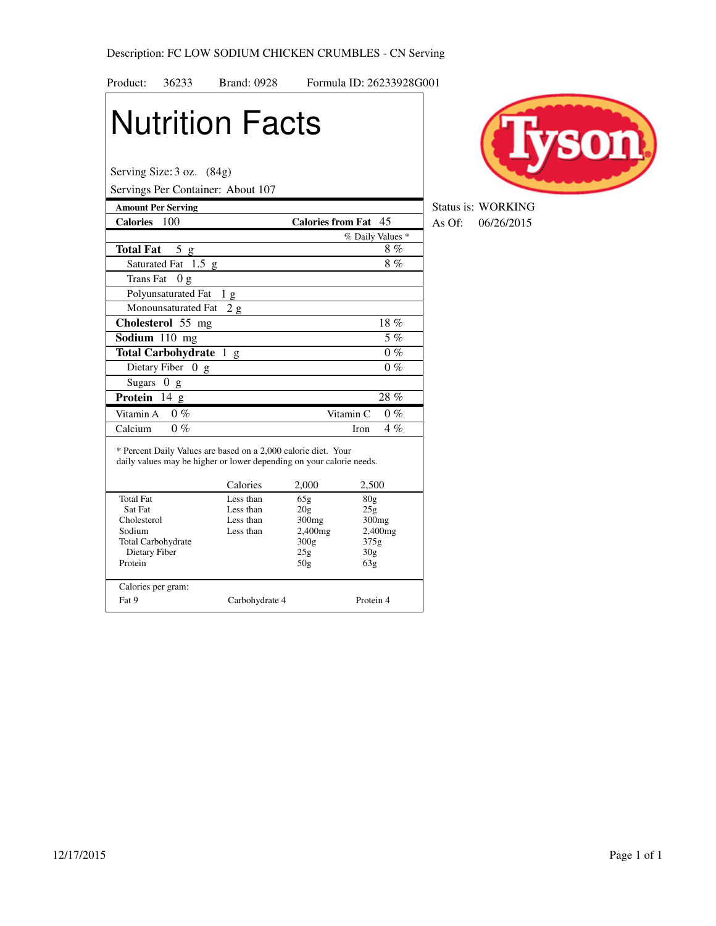| Product:<br>36233                          | <b>Brand: 0928</b>                                                                                                                     |                      | Formula ID: 26233928G001 |
|--------------------------------------------|----------------------------------------------------------------------------------------------------------------------------------------|----------------------|--------------------------|
|                                            | <b>Nutrition Facts</b>                                                                                                                 |                      |                          |
| Serving Size: 3 oz. (84g)                  | Servings Per Container: About 107                                                                                                      |                      |                          |
| <b>Amount Per Serving</b>                  |                                                                                                                                        |                      |                          |
| Calories 100                               |                                                                                                                                        | Calories from Fat 45 |                          |
|                                            |                                                                                                                                        |                      | % Daily Values *         |
| <b>Total Fat</b><br>5g                     |                                                                                                                                        |                      | 8%                       |
| Saturated Fat 1.5 g                        |                                                                                                                                        |                      | $8\%$                    |
| <b>Trans Fat</b><br>0 <sub>g</sub>         |                                                                                                                                        |                      |                          |
| Polyunsaturated Fat                        | 1 g                                                                                                                                    |                      |                          |
| Monounsaturated Fat                        | 2g                                                                                                                                     |                      |                          |
| Cholesterol 55 mg                          |                                                                                                                                        |                      | 18%                      |
| Sodium 110 mg                              |                                                                                                                                        |                      | $5\%$                    |
| Total Carbohydrate 1 g                     |                                                                                                                                        |                      | $0\%$                    |
| Dietary Fiber $0 \text{ g}$                |                                                                                                                                        |                      | $0\%$                    |
| Sugars<br>0 g                              |                                                                                                                                        |                      |                          |
| Protein<br>$14 \text{ g}$                  |                                                                                                                                        |                      | 28%                      |
| Vitamin A<br>$0\%$                         |                                                                                                                                        | Vitamin <sub>C</sub> | $0\%$                    |
| Calcium<br>$0\%$                           |                                                                                                                                        | <b>Iron</b>          | $\overline{4}$ %         |
|                                            | * Percent Daily Values are based on a 2,000 calorie diet. Your<br>daily values may be higher or lower depending on your calorie needs. |                      |                          |
|                                            | Calories                                                                                                                               | 2,000                | 2,500                    |
| <b>Total Fat</b><br>Sat Fat                | Less than<br>Less than                                                                                                                 | 65g<br>20g           | 80 <sub>g</sub><br>25g   |
| Cholesterol                                | Less than                                                                                                                              | 300mg                | 300mg                    |
| Sodium                                     | Less than                                                                                                                              | 2,400mg              | 2,400mg                  |
| <b>Total Carbohydrate</b><br>Dietary Fiber |                                                                                                                                        | 300g<br>25g          | 375g<br>30 <sub>g</sub>  |
| Protein                                    |                                                                                                                                        | 50 <sub>g</sub>      | 63g                      |
| Calories per gram:                         |                                                                                                                                        |                      |                          |
| Fat 9                                      | Carbohydrate 4                                                                                                                         |                      | Protein 4                |



**Status is: WORKING Calories From Fath As Of:** 06/26/2015<br> **Calories from Fath As Of:** 06/26/2015<br>
<u>Calories</u> from Fath As Of: 06/26/2015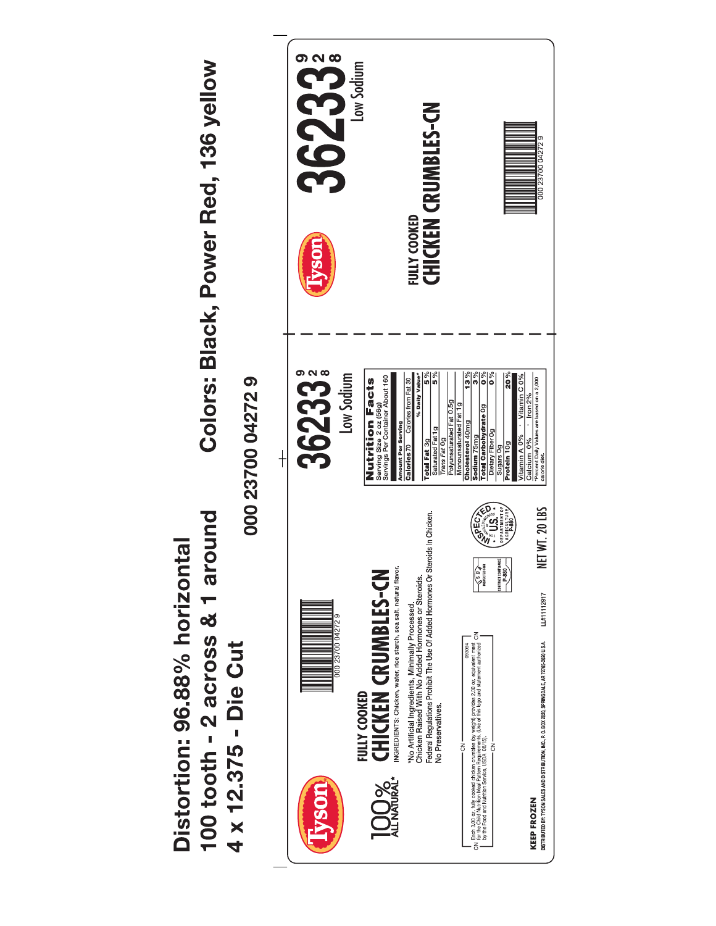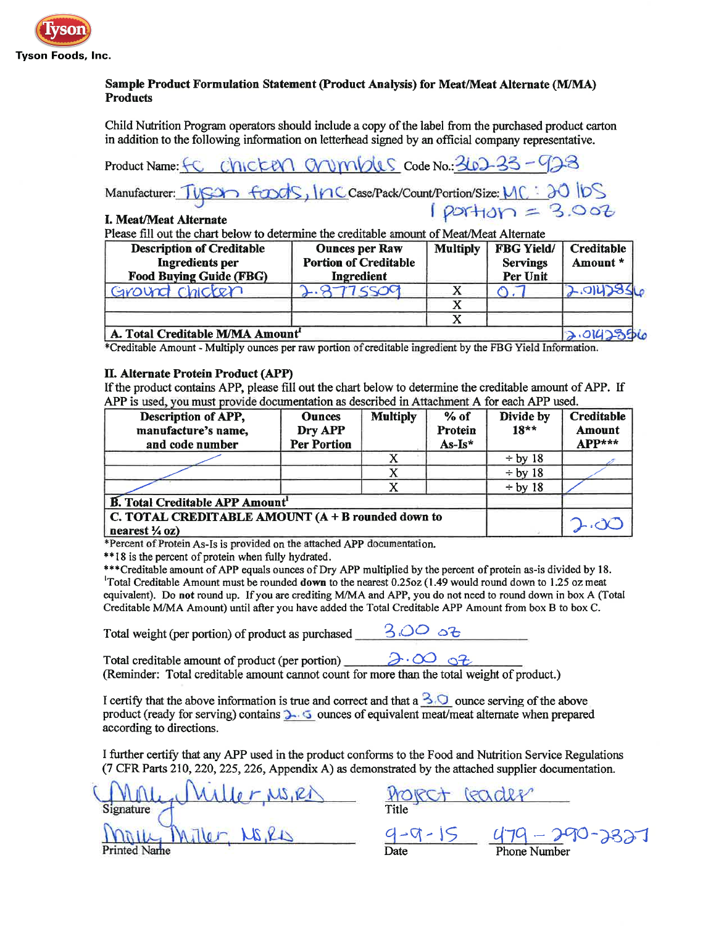

# Sample Product Formulation Statement (Product Analysis) for Meat/Meat Alternate (M/MA) **Products**

Child Nutrition Program operators should include a copy of the label from the purchased product carton in addition to the following information on letterhead signed by an official company representative.

Product Name: FC Chicken Chumbles Code No.: 362-33-423

Manufacturer: TUSCA foods, Inc. Case/Pack/Count/Portion/Size:  $MC : 30$  IDS<br>I Most/Most Alternate

# I. Meat/Meat Alternate

Please fill out the chart below to determine the creditable amount of Meat/Meat Alternate

| <b>Description of Creditable</b><br><b>Ingredients per</b><br><b>Food Buying Guide (FBG)</b> | <b>Ounces per Raw</b><br><b>Portion of Creditable</b><br>Ingredient | <b>Multiply</b> | <b>FBG Yield/</b><br><b>Servings</b><br>Per Unit | <b>Creditable</b><br>Amount * |
|----------------------------------------------------------------------------------------------|---------------------------------------------------------------------|-----------------|--------------------------------------------------|-------------------------------|
| Ground chicken                                                                               | 77 <                                                                |                 |                                                  | <b>2.0142356</b>              |
|                                                                                              |                                                                     |                 |                                                  |                               |
|                                                                                              |                                                                     |                 |                                                  |                               |
| A. Total Creditable M/MA Amount                                                              |                                                                     |                 |                                                  |                               |

\*Creditable Amount - Multiply ounces per raw portion of creditable ingredient by the FBG Yield Information.

# II. Alternate Protein Product (APP)

If the product contains APP, please fill out the chart below to determine the creditable amount of APP. If APP is used, you must provide documentation as described in Attachment A for each APP used.

| Description of APP,<br>manufacture's name,<br>and code number                    | <b>Ounces</b><br>Dry APP<br><b>Per Portion</b> | <b>Multiply</b> | $%$ of<br>Protein<br>As-Is* | Divide by<br>$18***$ | Creditable<br>Amount<br>APP*** |
|----------------------------------------------------------------------------------|------------------------------------------------|-----------------|-----------------------------|----------------------|--------------------------------|
|                                                                                  |                                                |                 |                             | $\div$ by 18         |                                |
|                                                                                  |                                                |                 |                             | $\div$ by 18         |                                |
|                                                                                  |                                                |                 |                             | $\div$ by 18         |                                |
| <b>B.</b> Total Creditable APP Amount <sup>1</sup>                               |                                                |                 |                             |                      |                                |
| C. TOTAL CREDITABLE AMOUNT $(A + B$ rounded down to<br>nearest $\frac{1}{4}$ oz) |                                                |                 |                             |                      |                                |

\*Percent of Protein As-Is is provided on the attached APP documentation.

\*\*18 is the percent of protein when fully hydrated.

\*\*\*Creditable amount of APP equals ounces of Dry APP multiplied by the percent of protein as-is divided by 18. <sup>1</sup>Total Creditable Amount must be rounded **down** to the nearest 0.25oz (1.49 would round down to 1.25 oz meat equivalent). Do not round up. If you are crediting M/MA and APP, you do not need to round down in box A (Total Creditable M/MA Amount) until after you have added the Total Creditable APP Amount from box B to box C.

Total weight (per portion) of product as purchased  $3.003$ 

Total creditable amount of product (per portion)  $\partial \cdot \partial$  of (Reminder: Total creditable amount cannot count for more than the total weight of product.)

I certify that the above information is true and correct and that a  $\frac{3}{\sqrt{2}}$  ounce serving of the above product (ready for serving) contains **3.6** ounces of equivalent meat/meat alternate when prepared according to directions.

I further certify that any APP used in the product conforms to the Food and Nutrition Service Regulations (7 CFR Parts 210, 220, 225, 226, Appendix A) as demonstrated by the attached supplier documentation.

Signature  $4-9-15$   $4-9-15$   $4-9-290-3831$ **Printed Name** 

r, MS, RD ROJECT GOODER